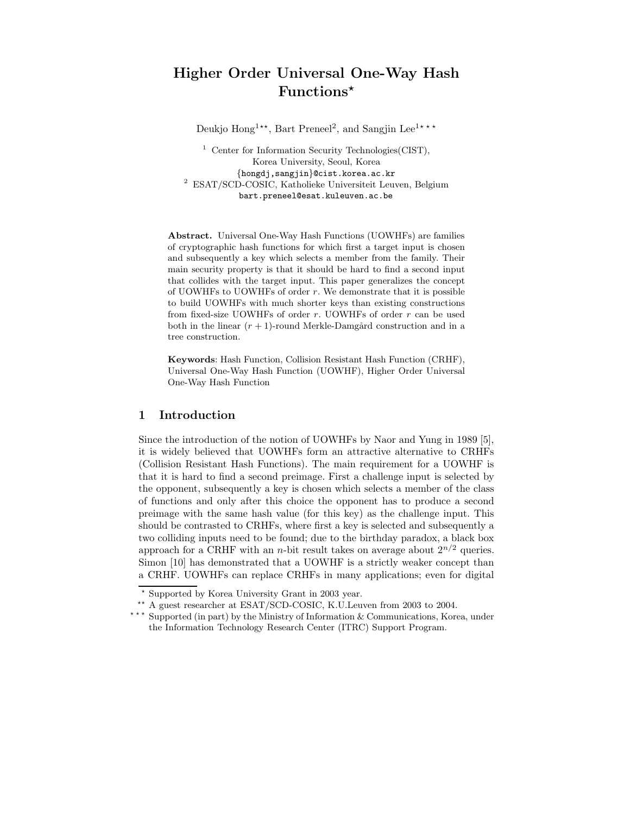# Higher Order Universal One-Way Hash Functions\*

Deukjo  $\text{Homg}^{1\star\star}$ , Bart Preneel<sup>2</sup>, and Sangjin Lee<sup>1\*\*\*</sup>

<sup>1</sup> Center for Information Security Technologies(CIST), Korea University, Seoul, Korea {hongdj,sangjin}@cist.korea.ac.kr <sup>2</sup> ESAT/SCD-COSIC, Katholieke Universiteit Leuven, Belgium bart.preneel@esat.kuleuven.ac.be

Abstract. Universal One-Way Hash Functions (UOWHFs) are families of cryptographic hash functions for which first a target input is chosen and subsequently a key which selects a member from the family. Their main security property is that it should be hard to find a second input that collides with the target input. This paper generalizes the concept of UOWHFs to UOWHFs of order r. We demonstrate that it is possible to build UOWHFs with much shorter keys than existing constructions from fixed-size UOWHFs of order  $r$ . UOWHFs of order  $r$  can be used both in the linear  $(r + 1)$ -round Merkle-Damgård construction and in a tree construction.

Keywords: Hash Function, Collision Resistant Hash Function (CRHF), Universal One-Way Hash Function (UOWHF), Higher Order Universal One-Way Hash Function

# 1 Introduction

Since the introduction of the notion of UOWHFs by Naor and Yung in 1989 [5], it is widely believed that UOWHFs form an attractive alternative to CRHFs (Collision Resistant Hash Functions). The main requirement for a UOWHF is that it is hard to find a second preimage. First a challenge input is selected by the opponent, subsequently a key is chosen which selects a member of the class of functions and only after this choice the opponent has to produce a second preimage with the same hash value (for this key) as the challenge input. This should be contrasted to CRHFs, where first a key is selected and subsequently a two colliding inputs need to be found; due to the birthday paradox, a black box approach for a CRHF with an *n*-bit result takes on average about  $2^{n/2}$  queries. Simon [10] has demonstrated that a UOWHF is a strictly weaker concept than a CRHF. UOWHFs can replace CRHFs in many applications; even for digital

<sup>?</sup> Supported by Korea University Grant in 2003 year.

<sup>\*\*</sup> A guest researcher at ESAT/SCD-COSIC, K.U.Leuven from 2003 to 2004.

<sup>\*\*\*</sup> Supported (in part) by the Ministry of Information & Communications, Korea, under the Information Technology Research Center (ITRC) Support Program.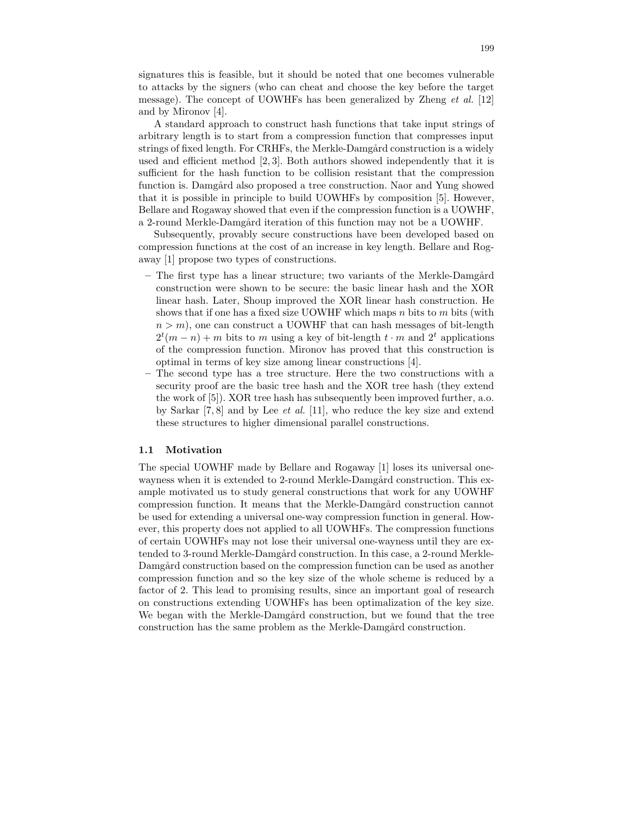signatures this is feasible, but it should be noted that one becomes vulnerable to attacks by the signers (who can cheat and choose the key before the target message). The concept of UOWHFs has been generalized by Zheng et al. [12] and by Mironov [4].

A standard approach to construct hash functions that take input strings of arbitrary length is to start from a compression function that compresses input strings of fixed length. For CRHFs, the Merkle-Damgård construction is a widely used and efficient method [2, 3]. Both authors showed independently that it is sufficient for the hash function to be collision resistant that the compression function is. Damgård also proposed a tree construction. Naor and Yung showed that it is possible in principle to build UOWHFs by composition [5]. However, Bellare and Rogaway showed that even if the compression function is a UOWHF, a 2-round Merkle-Damgård iteration of this function may not be a UOWHF.

Subsequently, provably secure constructions have been developed based on compression functions at the cost of an increase in key length. Bellare and Rogaway [1] propose two types of constructions.

- $-$  The first type has a linear structure; two variants of the Merkle-Damgård construction were shown to be secure: the basic linear hash and the XOR linear hash. Later, Shoup improved the XOR linear hash construction. He shows that if one has a fixed size UOWHF which maps n bits to m bits (with  $n > m$ , one can construct a UOWHF that can hash messages of bit-length  $2^{t}(m-n) + m$  bits to m using a key of bit-length  $t \cdot m$  and  $2^{t}$  applications of the compression function. Mironov has proved that this construction is optimal in terms of key size among linear constructions [4].
- The second type has a tree structure. Here the two constructions with a security proof are the basic tree hash and the XOR tree hash (they extend the work of [5]). XOR tree hash has subsequently been improved further, a.o. by Sarkar  $[7, 8]$  and by Lee *et al.* [11], who reduce the key size and extend these structures to higher dimensional parallel constructions.

#### 1.1 Motivation

The special UOWHF made by Bellare and Rogaway [1] loses its universal onewayness when it is extended to 2-round Merkle-Damgård construction. This example motivated us to study general constructions that work for any UOWHF compression function. It means that the Merkle-Damgård construction cannot be used for extending a universal one-way compression function in general. However, this property does not applied to all UOWHFs. The compression functions of certain UOWHFs may not lose their universal one-wayness until they are extended to 3-round Merkle-Damgård construction. In this case, a 2-round Merkle-Damgård construction based on the compression function can be used as another compression function and so the key size of the whole scheme is reduced by a factor of 2. This lead to promising results, since an important goal of research on constructions extending UOWHFs has been optimalization of the key size. We began with the Merkle-Damgård construction, but we found that the tree construction has the same problem as the Merkle-Damgård construction.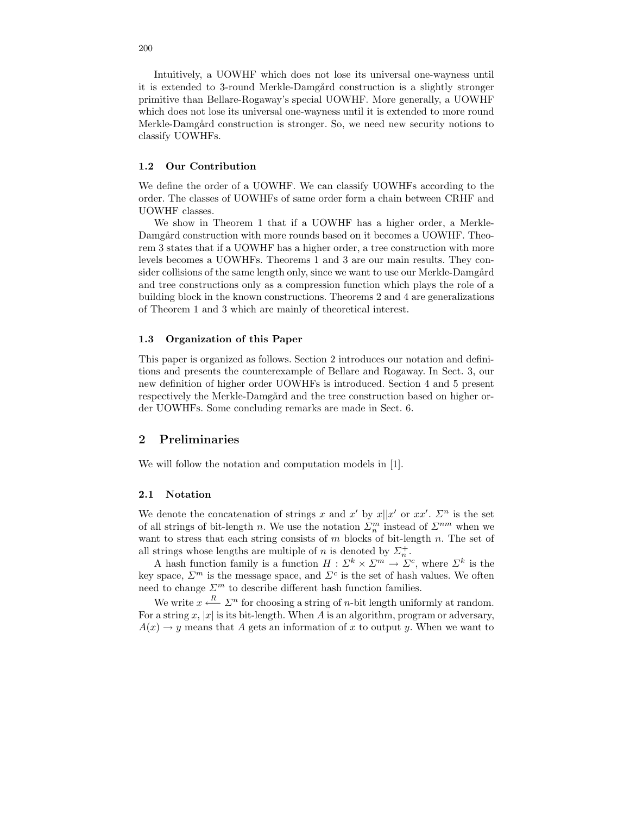Intuitively, a UOWHF which does not lose its universal one-wayness until it is extended to 3-round Merkle-Damgård construction is a slightly stronger primitive than Bellare-Rogaway's special UOWHF. More generally, a UOWHF which does not lose its universal one-wayness until it is extended to more round Merkle-Damgård construction is stronger. So, we need new security notions to classify UOWHFs.

#### 1.2 Our Contribution

We define the order of a UOWHF. We can classify UOWHFs according to the order. The classes of UOWHFs of same order form a chain between CRHF and UOWHF classes.

We show in Theorem 1 that if a UOWHF has a higher order, a Merkle-Damgård construction with more rounds based on it becomes a UOWHF. Theorem 3 states that if a UOWHF has a higher order, a tree construction with more levels becomes a UOWHFs. Theorems 1 and 3 are our main results. They consider collisions of the same length only, since we want to use our Merkle-Damgård and tree constructions only as a compression function which plays the role of a building block in the known constructions. Theorems 2 and 4 are generalizations of Theorem 1 and 3 which are mainly of theoretical interest.

#### 1.3 Organization of this Paper

This paper is organized as follows. Section 2 introduces our notation and definitions and presents the counterexample of Bellare and Rogaway. In Sect. 3, our new definition of higher order UOWHFs is introduced. Section 4 and 5 present respectively the Merkle-Damgård and the tree construction based on higher order UOWHFs. Some concluding remarks are made in Sect. 6.

## 2 Preliminaries

We will follow the notation and computation models in [1].

#### 2.1 Notation

We denote the concatenation of strings x and x' by  $x||x'$  or  $xx'$ .  $\Sigma<sup>n</sup>$  is the set of all strings of bit-length n. We use the notation  $\mathcal{L}_n^m$  instead of  $\mathcal{L}^{nm}$  when we want to stress that each string consists of  $m$  blocks of bit-length  $n$ . The set of all strings whose lengths are multiple of n is denoted by  $\Sigma_n^+$ .

A hash function family is a function  $H: \mathbb{Z}^k \times \mathbb{Z}^m \to \mathbb{Z}^c$ , where  $\mathbb{Z}^k$  is the key space,  $\Sigma^m$  is the message space, and  $\Sigma^c$  is the set of hash values. We often need to change  $\Sigma^m$  to describe different hash function families.

We write  $x \stackrel{R}{\longleftarrow} \Sigma^n$  for choosing a string of *n*-bit length uniformly at random. For a string x, |x| is its bit-length. When A is an algorithm, program or adversary,  $A(x) \rightarrow y$  means that A gets an information of x to output y. When we want to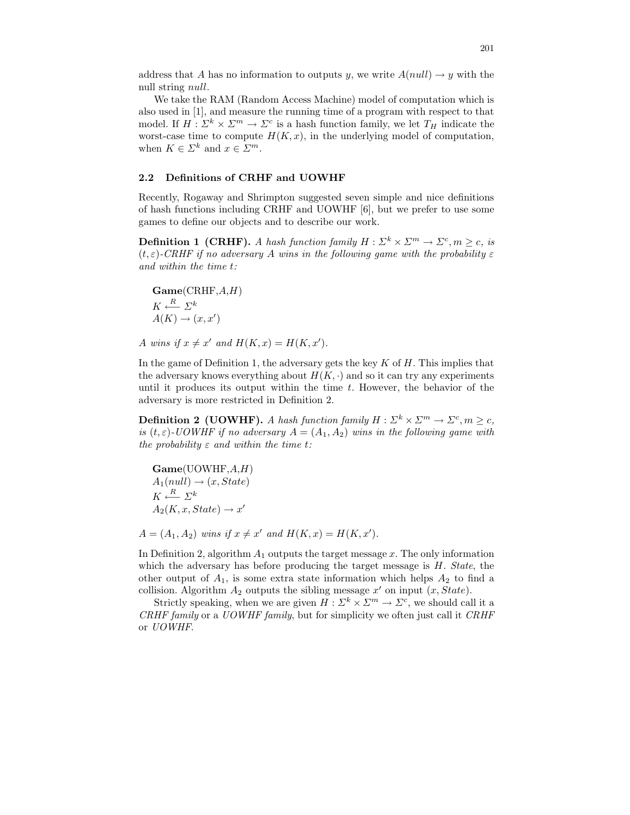address that A has no information to outputs y, we write  $A(null) \rightarrow y$  with the null string *null*.

We take the RAM (Random Access Machine) model of computation which is also used in [1], and measure the running time of a program with respect to that model. If  $H: \mathbb{Z}^k \times \mathbb{Z}^m \to \mathbb{Z}^c$  is a hash function family, we let  $T_H$  indicate the worst-case time to compute  $H(K, x)$ , in the underlying model of computation, when  $K \in \mathbb{Z}^k$  and  $x \in \mathbb{Z}^m$ .

#### 2.2 Definitions of CRHF and UOWHF

Recently, Rogaway and Shrimpton suggested seven simple and nice definitions of hash functions including CRHF and UOWHF [6], but we prefer to use some games to define our objects and to describe our work.

**Definition 1 (CRHF).** A hash function family  $H: \Sigma^k \times \Sigma^m \to \Sigma^c, m \geq c$ , is  $(t, \varepsilon)$ -CRHF if no adversary A wins in the following game with the probability  $\varepsilon$ and within the time t:

 $Game(CRHF,A,H)$  $K \stackrel{R}{\longleftarrow} \Sigma^k$  $A(K) \rightarrow (x, x')$ 

A wins if  $x \neq x'$  and  $H(K, x) = H(K, x')$ .

In the game of Definition 1, the adversary gets the key  $K$  of  $H$ . This implies that the adversary knows everything about  $H(K, \cdot)$  and so it can try any experiments until it produces its output within the time  $t$ . However, the behavior of the adversary is more restricted in Definition 2.

**Definition 2 (UOWHF).** A hash function family  $H : \Sigma^k \times \Sigma^m \to \Sigma^c, m \geq c$ , is  $(t, \varepsilon)$ -UOWHF if no adversary  $A = (A_1, A_2)$  wins in the following game with the probability  $\varepsilon$  and within the time t:

 $Game(UOWHF, A, H)$  $A_1(null) \rightarrow (x, State)$  $K \stackrel{R}{\longleftarrow} \Sigma^k$  $A_2(K, x, State) \rightarrow x'$ 

 $A = (A_1, A_2)$  wins if  $x \neq x'$  and  $H(K, x) = H(K, x')$ .

In Definition 2, algorithm  $A_1$  outputs the target message x. The only information which the adversary has before producing the target message is  $H$ . State, the other output of  $A_1$ , is some extra state information which helps  $A_2$  to find a collision. Algorithm  $A_2$  outputs the sibling message  $x'$  on input  $(x, State)$ .

Strictly speaking, when we are given  $H: \mathbb{Z}^k \times \mathbb{Z}^m \to \mathbb{Z}^c$ , we should call it a CRHF family or a UOWHF family, but for simplicity we often just call it CRHF or UOWHF.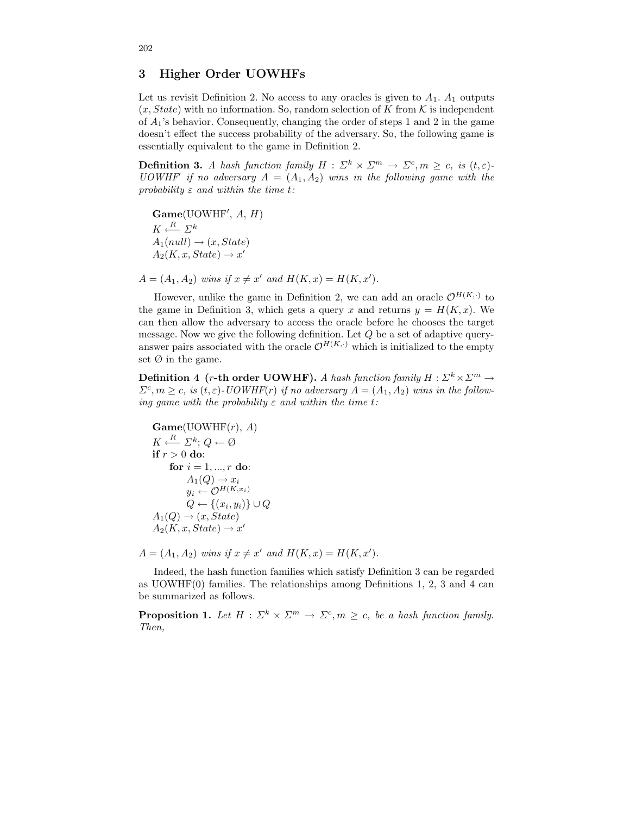# 3 Higher Order UOWHFs

Let us revisit Definition 2. No access to any oracles is given to  $A_1$ .  $A_1$  outputs  $(x, State)$  with no information. So, random selection of K from K is independent of  $A_1$ 's behavior. Consequently, changing the order of steps 1 and 2 in the game doesn't effect the success probability of the adversary. So, the following game is essentially equivalent to the game in Definition 2.

**Definition 3.** A hash function family  $H : \Sigma^k \times \Sigma^m \to \Sigma^c, m \geq c$ , is  $(t, \varepsilon)$ . UOWHF' if no adversary  $A = (A_1, A_2)$  wins in the following game with the probability  $\varepsilon$  and within the time t:

 $Game(UOWHF', A, H)$  $K \stackrel{R}{\longleftarrow} \Sigma^k$  $A_1(null) \rightarrow (x, State)$  $A_2(K, x, State) \rightarrow x'$ 

 $A = (A_1, A_2)$  wins if  $x \neq x'$  and  $H(K, x) = H(K, x')$ .

However, unlike the game in Definition 2, we can add an oracle  $\mathcal{O}^{H(K,\cdot)}$  to the game in Definition 3, which gets a query x and returns  $y = H(K, x)$ . We can then allow the adversary to access the oracle before he chooses the target message. Now we give the following definition. Let Q be a set of adaptive queryanswer pairs associated with the oracle  $\mathcal{O}^{H(K,\cdot)}$  which is initialized to the empty set  $\emptyset$  in the game.

Definition 4 (r-th order UOWHF). A hash function family  $H : \Sigma^k \times \Sigma^m \to$  $\Sigma^c, m \geq c$ , is  $(t, \varepsilon)$ -UOWHF(r) if no adversary  $A = (A_1, A_2)$  wins in the following game with the probability  $\varepsilon$  and within the time t:

```
Game(UOWHF(r), A)K \stackrel{R}{\longleftarrow} \Sigma^k; Q \leftarrow \emptysetif r > 0 do:
 for i = 1, ..., r do:
        A_1(Q) \rightarrow x_iy_i \leftarrow \mathcal{O}^{H(K,x_i)}Q \leftarrow \{(x_i, y_i)\} \cup QA_1(Q) \rightarrow (x, State)A_2(K, x, State) \rightarrow x'
```
 $A = (A_1, A_2)$  wins if  $x \neq x'$  and  $H(K, x) = H(K, x')$ .

Indeed, the hash function families which satisfy Definition 3 can be regarded as UOWHF(0) families. The relationships among Definitions 1, 2, 3 and 4 can be summarized as follows.

**Proposition 1.** Let  $H : \Sigma^k \times \Sigma^m \to \Sigma^c, m \geq c$ , be a hash function family. Then,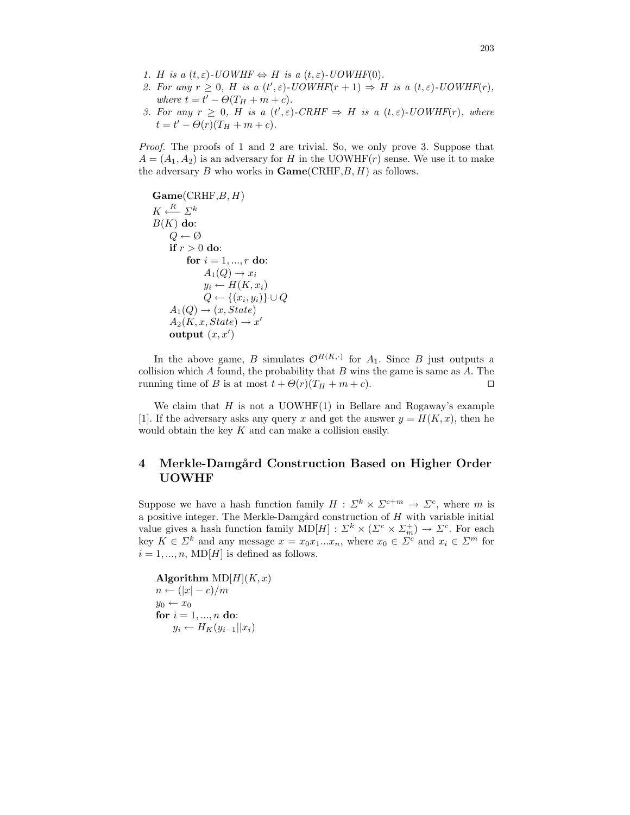- 1. H is a  $(t, \varepsilon)$ -UOWHF  $\Leftrightarrow$  H is a  $(t, \varepsilon)$ -UOWHF(0).
- 2. For any  $r \geq 0$ , H is a  $(t', \varepsilon)$ -UOWHF $(r + 1) \Rightarrow H$  is a  $(t, \varepsilon)$ -UOWHF $(r)$ , where  $t = t' - \Theta(T_H + m + c)$ .
- 3. For any  $r \geq 0$ , H is a  $(t', \varepsilon)$ -CRHF  $\Rightarrow$  H is a  $(t, \varepsilon)$ -UOWHF(r), where  $t = t' - \Theta(r)(T_H + m + c).$

Proof. The proofs of 1 and 2 are trivial. So, we only prove 3. Suppose that  $A = (A_1, A_2)$  is an adversary for H in the UOWHF(r) sense. We use it to make the adversary B who works in  $Game(CRHF, B, H)$  as follows.

```
Game(CRHF, B, H)K \stackrel{R}{\longleftarrow} \Sigma^kB(K) do:
Q \leftarrow \emptysetif r>0 do:
      for i = 1, ..., r do:
            A_1(Q) \rightarrow x_iy_i \leftarrow H(K, x_i)Q \leftarrow \{(x_i, y_i)\} \cup QA_1(Q) \rightarrow (x, State)A_2(K, x, State) \rightarrow x'output (x, x')
```
In the above game, B simulates  $\mathcal{O}^{H(K,\cdot)}$  for  $A_1$ . Since B just outputs a collision which  $A$  found, the probability that  $B$  wins the game is same as  $A$ . The running time of B is at most  $t + \Theta(r)(T_H + m + c)$ .

We claim that  $H$  is not a UOWHF(1) in Bellare and Rogaway's example [1]. If the adversary asks any query x and get the answer  $y = H(K, x)$ , then he would obtain the key K and can make a collision easily.

# 4 Merkle-Damgård Construction Based on Higher Order UOWHF

Suppose we have a hash function family  $H: \mathbb{Z}^k \times \mathbb{Z}^{c+m} \to \mathbb{Z}^c$ , where m is a positive integer. The Merkle-Damgård construction of  $H$  with variable initial value gives a hash function family  $MD[H] : \Sigma^k \times (\Sigma^c \times \Sigma^+_m) \to \Sigma^c$ . For each key  $K \in \Sigma^k$  and any message  $x = x_0 x_1 ... x_n$ , where  $x_0 \in \Sigma^c$  and  $x_i \in \Sigma^m$  for  $i = 1, ..., n$ , MD[H] is defined as follows.

Algorithm  $MD[H](K, x)$  $n \leftarrow (|x| - c)/m$  $y_0 \leftarrow x_0$ for  $i = 1, ..., n$  do:  $y_i \leftarrow H_K(y_{i-1}||x_i)$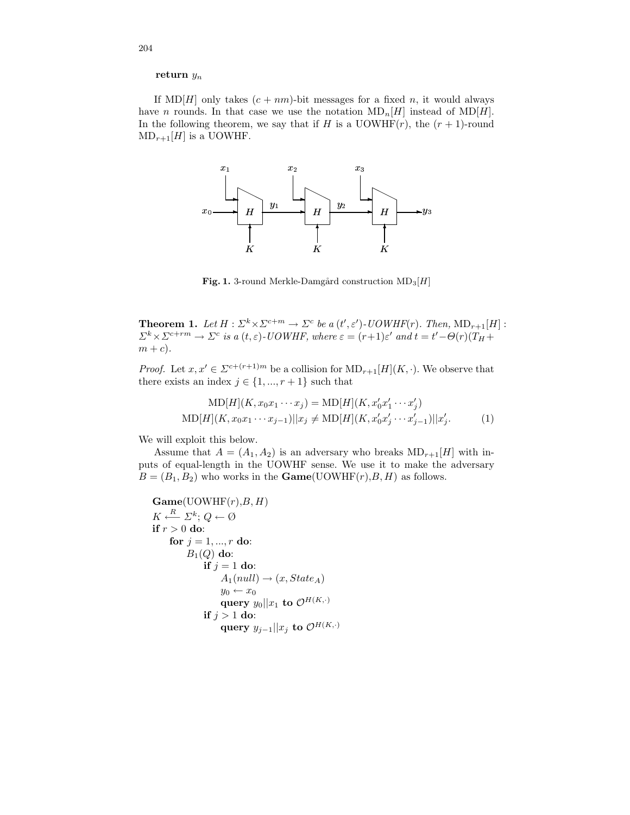#### return  $y_n$

If MD[H] only takes  $(c + nm)$ -bit messages for a fixed n, it would always have *n* rounds. In that case we use the notation  $MD_n[H]$  instead of  $MD[H]$ . In the following theorem, we say that if H is a UOWHF(r), the  $(r + 1)$ -round  $MD_{r+1}[H]$  is a UOWHF.



Fig. 1. 3-round Merkle-Damgård construction  $MD_3[H]$ 

**Theorem 1.** Let  $H : \Sigma^k \times \Sigma^{c+m} \to \Sigma^c$  be a  $(t', \varepsilon')$ -UOWHF(r). Then,  $MD_{r+1}[H]$ :  $\Sigma^k \times \Sigma^{c+rm} \to \Sigma^c$  is a  $(t, \varepsilon)$ -UOWHF, where  $\varepsilon = (r+1)\varepsilon'$  and  $t = t' - \Theta(r)(T_H +$  $m + c$ ).

*Proof.* Let  $x, x' \in \Sigma^{c+(r+1)m}$  be a collision for  $MD_{r+1}[H](K, \cdot)$ . We observe that there exists an index  $j \in \{1, ..., r+1\}$  such that

$$
MD[H](K, x_0x_1 \cdots x_j) = MD[H](K, x'_0x'_1 \cdots x'_j)
$$
  
\n
$$
MD[H](K, x_0x_1 \cdots x_{j-1})||x_j \neq MD[H](K, x'_0x'_j \cdots x'_{j-1})||x'_j.
$$
\n(1)

We will exploit this below.

Assume that  $A = (A_1, A_2)$  is an adversary who breaks  $MD_{r+1}[H]$  with inputs of equal-length in the UOWHF sense. We use it to make the adversary  $B = (B_1, B_2)$  who works in the **Game**(UOWHF(*r*),*B*, *H*) as follows.

```
Game(UOWHF(r), B, H)K \stackrel{R}{\longleftarrow} \Sigma^k; Q \leftarrow \emptysetif r > 0 do:
for j = 1, ..., r do:
      B_1(Q) do:
           if j = 1 do:
                 A_1(null) \rightarrow (x, State_A)y_0 \leftarrow x_0query y_0||x_1 to \mathcal{O}^{H(K,\cdot)}if j > 1 do:
                 query y_{j-1}||x_j to \mathcal{O}^{H(K,\cdot)}
```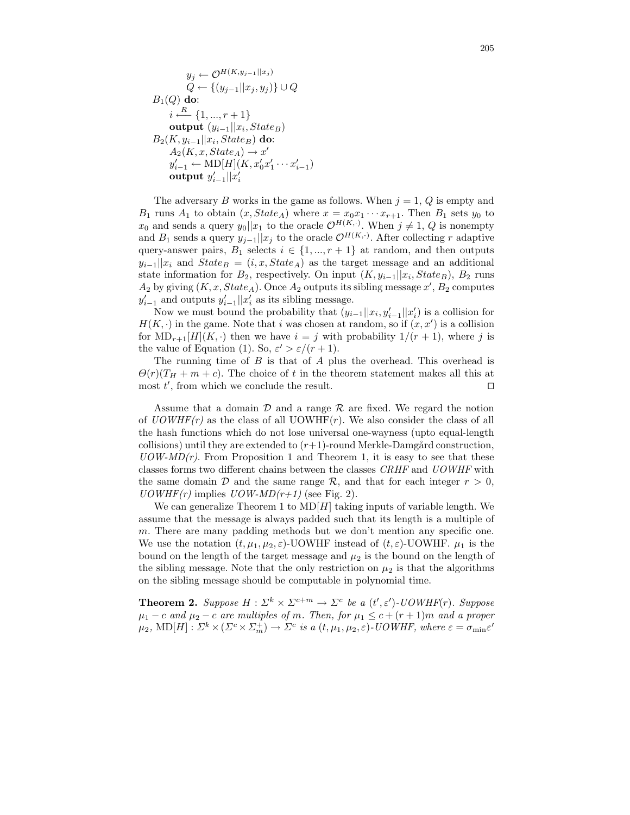$$
y_j \leftarrow \mathcal{O}^{H(K, y_{j-1} || x_j)} Q \leftarrow \{(y_{j-1} || x_j, y_j)\} \cup Q B_1(Q) \textbf{ do:} i \leftarrow {\textbf{F}} \{1, ..., r + 1\} \textbf{output } (y_{i-1} || x_i, State_B) B_2(K, y_{i-1} || x_i, State_B) \textbf{ do:} A_2(K, x, State_A) \rightarrow x' y'_{i-1} \leftarrow \text{MD}[H](K, x'_0 x'_1 \cdots x'_{i-1}) \textbf{output } y'_{i-1} || x'_i
$$

The adversary B works in the game as follows. When  $j = 1, Q$  is empty and  $B_1$  runs  $A_1$  to obtain  $(x, State_A)$  where  $x = x_0x_1 \cdots x_{r+1}$ . Then  $B_1$  sets  $y_0$  to  $x_0$  and sends a query  $y_0||x_1$  to the oracle  $\mathcal{O}^{H(K,\cdot)}$ . When  $j \neq 1, Q$  is nonempty and  $B_1$  sends a query  $y_{j-1}||x_j$  to the oracle  $\mathcal{O}^{H(K,\cdot)}$ . After collecting r adaptive query-answer pairs,  $B_1$  selects  $i \in \{1, ..., r+1\}$  at random, and then outputs  $y_{i-1}||x_i$  and  $State_B = (i, x, State_A)$  as the target message and an additional state information for  $B_2$ , respectively. On input  $(K, y_{i-1}||x_i, State_B), B_2$  runs  $A_2$  by giving  $(K, x, State_A)$ . Once  $A_2$  outputs its sibling message  $x', B_2$  computes  $y'_{i-1}$  and outputs  $y'_{i-1}$ || $x'_{i}$  as its sibling message.

Now we must bound the probability that  $(y_{i-1}||x_i, y'_{i-1}||x'_i)$  is a collision for  $H(K, \cdot)$  in the game. Note that i was chosen at random, so if  $(x, x')$  is a collision for  $MD_{r+1}[H](K, \cdot)$  then we have  $i = j$  with probability  $1/(r+1)$ , where j is the value of Equation (1). So,  $\varepsilon' > \varepsilon/(r+1)$ .

The running time of  $B$  is that of  $A$  plus the overhead. This overhead is  $\Theta(r)(T_H + m + c)$ . The choice of t in the theorem statement makes all this at most  $t'$ , from which we conclude the result.

Assume that a domain  $D$  and a range  $R$  are fixed. We regard the notion of  $UOWHF(r)$  as the class of all  $UOWHF(r)$ . We also consider the class of all the hash functions which do not lose universal one-wayness (upto equal-length collisions) until they are extended to  $(r+1)$ -round Merkle-Damgård construction,  $UOW-MD(r)$ . From Proposition 1 and Theorem 1, it is easy to see that these classes forms two different chains between the classes CRHF and UOWHF with the same domain D and the same range R, and that for each integer  $r > 0$ ,  $UOWHF(r)$  implies  $UOW-MD(r+1)$  (see Fig. 2).

We can generalize Theorem 1 to  $MD[H]$  taking inputs of variable length. We assume that the message is always padded such that its length is a multiple of m. There are many padding methods but we don't mention any specific one. We use the notation  $(t, \mu_1, \mu_2, \varepsilon)$ -UOWHF instead of  $(t, \varepsilon)$ -UOWHF.  $\mu_1$  is the bound on the length of the target message and  $\mu_2$  is the bound on the length of the sibling message. Note that the only restriction on  $\mu_2$  is that the algorithms on the sibling message should be computable in polynomial time.

**Theorem 2.** Suppose  $H : \Sigma^k \times \Sigma^{c+m} \to \Sigma^c$  be a  $(t', \varepsilon')$ -UOWHF(r). Suppose  $\mu_1 - c$  and  $\mu_2 - c$  are multiples of m. Then, for  $\mu_1 \leq c + (r + 1)m$  and a proper  $\mu_2$ , MD[H] :  $\Sigma^k \times (\Sigma^c \times \Sigma^+_m) \to \Sigma^c$  is a  $(t, \mu_1, \mu_2, \varepsilon)$ -UOWHF, where  $\varepsilon = \sigma_{\min} \varepsilon'$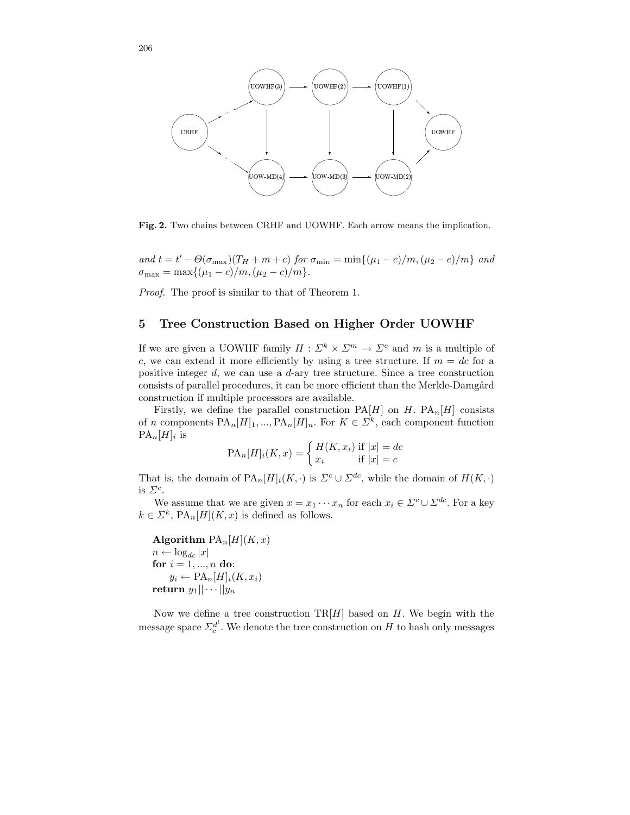

Fig. 2. Two chains between CRHF and UOWHF. Each arrow means the implication.

and  $t = t' - \Theta(\sigma_{\text{max}})(T_H + m + c)$  for  $\sigma_{\text{min}} = \min\{(\mu_1 - c)/m, (\mu_2 - c)/m\}$  and  $\sigma_{\text{max}} = \max\{(\mu_1 - c)/m, (\mu_2 - c)/m\}.$ 

Proof. The proof is similar to that of Theorem 1.

# 5 Tree Construction Based on Higher Order UOWHF

If we are given a UOWHF family  $H : \Sigma^k \times \Sigma^m \to \Sigma^c$  and m is a multiple of c, we can extend it more efficiently by using a tree structure. If  $m = dc$  for a positive integer d, we can use a d-ary tree structure. Since a tree construction consists of parallel procedures, it can be more efficient than the Merkle-Damgård construction if multiple processors are available.

Firstly, we define the parallel construction  $PA[H]$  on H.  $PA_n[H]$  consists of n components  $PA_n[H]_1, ..., PA_n[H]_n$ . For  $K \in \mathbb{Z}^k$ , each component function  $PA_n[H]_i$  is

$$
PA_n[H]_i(K, x) = \begin{cases} H(K, x_i) \text{ if } |x| = dc\\ x_i \text{ if } |x| = c \end{cases}
$$

That is, the domain of  $PA_n[H]_i(K, \cdot)$  is  $\Sigma^c \cup \Sigma^{dc}$ , while the domain of  $H(K, \cdot)$ is  $\Sigma^c$ .

We assume that we are given  $x = x_1 \cdots x_n$  for each  $x_i \in \Sigma^c \cup \Sigma^{dc}$ . For a key  $k \in \mathbb{Z}^k$ ,  $\text{PA}_n[H](K, x)$  is defined as follows.

Algorithm  $PA_n[H](K, x)$  $n \leftarrow \log_{dc} |x|$ for  $i = 1, ..., n$  do:  $y_i \leftarrow \text{PA}_n[H]_i(K, x_i)$ return  $y_1|| \cdots ||y_n$ 

Now we define a tree construction  $TR[H]$  based on H. We begin with the message space  $\Sigma_c^{d^l}$ . We denote the tree construction on H to hash only messages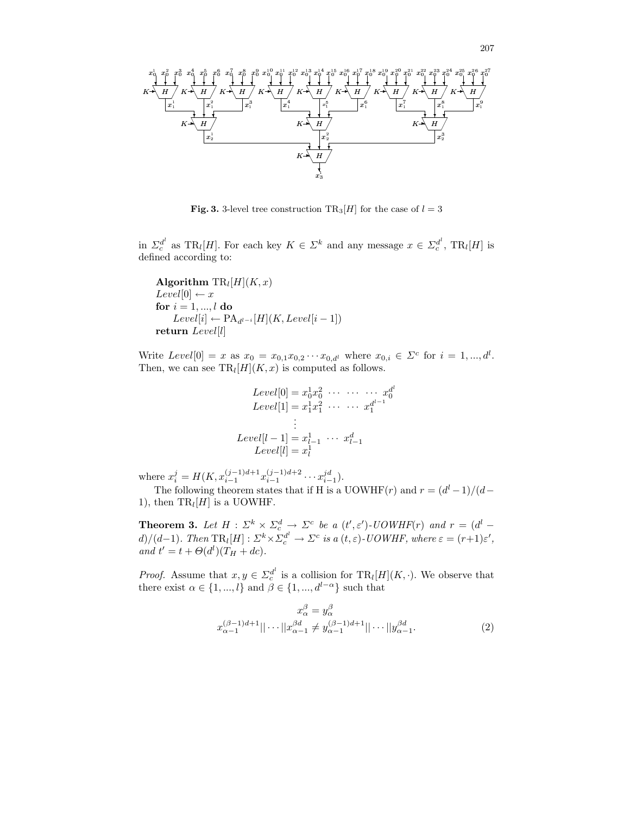

Fig. 3. 3-level tree construction TR<sub>3</sub>[H] for the case of  $l = 3$ 

in  $\Sigma_c^{d^l}$  as TR<sub>l</sub>[H]. For each key  $K \in \Sigma^k$  and any message  $x \in \Sigma_c^{d^l}$ , TR<sub>l</sub>[H] is defined according to:

Algorithm  $\mathrm{TR}_l[H](K,x)$  $Level[0] \leftarrow x$ for  $i = 1, ..., l$  do  $Level[i] \leftarrow PA_{d^{l-i}}[H](K, Level[i-1])$ return Level[l]

Write  $Level[0] = x$  as  $x_0 = x_{0,1}x_{0,2} \cdots x_{0,d}$  where  $x_{0,i} \in \Sigma^c$  for  $i = 1, ..., d^l$ . Then, we can see  $TR_l[H](K, x)$  is computed as follows.

$$
Level[0] = x_0^1 x_0^2 \cdots \cdots \cdots x_1^{d^l}
$$
  
\n
$$
Level[1] = x_1^1 x_1^2 \cdots \cdots x_1^{d^{l-1}}
$$
  
\n
$$
\vdots
$$
  
\n
$$
Level[l-1] = x_{l-1}^1 \cdots x_{l-1}^d
$$
  
\n
$$
Level[l] = x_l^1
$$

where  $x_i^j = H(K, x_{i-1}^{(j-1)d+1} x_{i-1}^{(j-1)d+2} \cdots x_{i-1}^{jd}).$ 

The following theorem states that if H is a UOWHF(r) and  $r = (d<sup>l</sup> - 1)/(d -$ 1), then  $TR_l[H]$  is a UOWHF.

**Theorem 3.** Let  $H : \Sigma^k \times \Sigma^d_c \rightarrow \Sigma^c$  be a  $(t', \varepsilon')$ -UOWHF(r) and  $r = (d^l$  $d)/(d-1)$ . Then  $\text{TR}_l[H]: \Sigma^k \times \Sigma_c^{d^l} \to \Sigma^c$  is a  $(t, \varepsilon)$ -UOWHF, where  $\varepsilon = (r+1)\varepsilon'$ , and  $t' = t + \Theta(d^{l})(T_H + dc)$ .

*Proof.* Assume that  $x, y \in \Sigma_c^{d'}$  is a collision for TR<sub>l</sub>[H](K, ·). We observe that there exist  $\alpha \in \{1, ..., l\}$  and  $\beta \in \{1, ..., d^{l-\alpha}\}\$  such that

$$
x_{\alpha}^{\beta} = y_{\alpha}^{\beta}
$$
  

$$
x_{\alpha-1}^{(\beta-1)d+1}||\cdots||x_{\alpha-1}^{\beta d} \neq y_{\alpha-1}^{(\beta-1)d+1}||\cdots||y_{\alpha-1}^{\beta d}.
$$
 (2)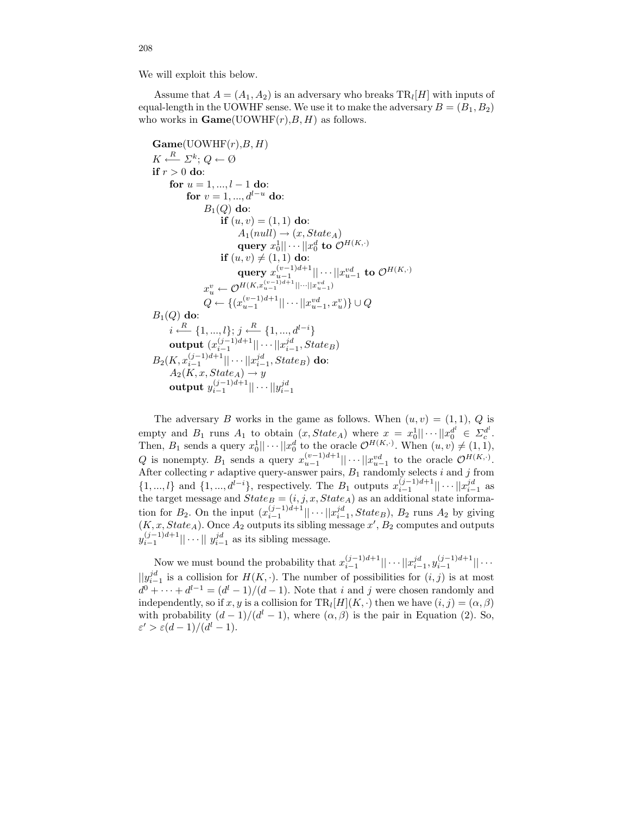We will exploit this below.

Assume that  $A = (A_1, A_2)$  is an adversary who breaks  $TR_l[H]$  with inputs of equal-length in the UOWHF sense. We use it to make the adversary  $B = (B_1, B_2)$ who works in  $Game(UOWHF(r), B, H)$  as follows.

```
Game(UOWHF(r), B, H)K \xleftarrow{R} \Sigma^k; Q \leftarrow \emptysetif r > 0 do:
 for u = 1, ..., l - 1 do:
         for v = 1, ..., d^{l-u} do:
               B_1(Q) do:
                      if (u, v) = (1, 1) do:
                             A_1(null) \rightarrow (x, State_A)\textbf{query}\; x^1_0||\cdots||x^d_0 \textbf{ to } \mathcal{O}^{H(K, \cdot)}if (u, v) \neq (1, 1) do:
                             query x_{u-1}^{(v-1)d+1}||\cdots||x_{u-1}^{vd} to \mathcal{O}^{H(K,\cdot)}x_u^v \leftarrow \mathcal{O}^{H(K, x_{u-1}^{(v-1)d+1}||\cdots||x_{u-1}^{vd})}Q \leftarrow \{(x_{u-1}^{(v-1)d+1} \mid\mid \cdots \mid | x_{u-1}^{vd}, x_u^v) \} \cup QB_1(Q) do:
  i \stackrel{R}{\longleftarrow} \{1, ..., l\}; j \stackrel{R}{\longleftarrow} \{1, ..., d^{l-i}\}\mathbf{output}\;(x_{i-1}^{(j-1)d+1}||\cdots||x_{i-1}^{jd},State_B)B_2(K, x_{i-1}^{(j-1)d+1}||\cdots||x_{i-1}^{jd}, State_B) do:
  A_2(K, x, State_A) \rightarrow youtput y_{i-1}^{(j-1)d+1}||\cdots||y_{i-1}^{jd}
```
The adversary B works in the game as follows. When  $(u, v) = (1, 1), Q$  is empty and  $B_1$  runs  $A_1$  to obtain  $(x, State_A)$  where  $x = x_0^1 || \cdots ||x_0^{d'} \in \Sigma_c^{d'}$ . Then,  $B_1$  sends a query  $x_0^1 || \cdots || x_0^d$  to the oracle  $\mathcal{O}^{H(K,\cdot)}$ . When  $(u, v) \neq (1, 1)$ , Q is nonempty.  $B_1$  sends a query  $x_{u-1}^{(v-1)d+1} \mid \mid \cdots \mid x_{u-1}^{vd}$  to the oracle  $\mathcal{O}^{H(K,\cdot)}$ . After collecting r adaptive query-answer pairs,  $B_1$  randomly selects i and j from  $\{1, ..., l\}$  and  $\{1, ..., d^{l-i}\}$ , respectively. The  $B_1$  outputs  $x_{i-1}^{(j-1)d+1}$  $\frac{(j-1)d+1}{i-1}$ ||  $\cdots$ || $x_{i-1}^{jd}$  as the target message and  $State_B = (i, j, x, State_A)$  as an additional state informa-<br>tion for B. On the input  $(x^{(j-1)d+1})$   $\cup$   $x^{id}$   $State_A$ ), B. www. A. by giving tion for  $B_2$ . On the input  $(x_{i-1}^{(j-1)d+1}|| \cdots ||x_{i-1}^{jd}, State_B)$ ,  $B_2$  runs  $A_2$  by giving  $(K, x, State_A)$ . Once  $A_2$  outputs its sibling message  $x'$ ,  $B_2$  computes and outputs  $y_{i-1}^{(j-1)d+1}$ ||  $\dots$ ||  $y_{i-1}^{jd}$  as its sibling message.

Now we must bound the probability that  $x_{i-1}^{(j-1)d+1} || \cdots ||x_{i-1}^{jd}, y_{i-1}^{(j-1)d+1} || \cdots$  $||y_{i-1}^{jd}$  is a collision for  $H(K, \cdot)$ . The number of possibilities for  $(i, j)$  is at most  $d^0 + \cdots + d^{l-1} = (d^l - 1)/(d - 1)$ . Note that i and j were chosen randomly and independently, so if x, y is a collision for  $TR_l[H](K, \cdot)$  then we have  $(i, j) = (\alpha, \beta)$ with probability  $(d-1)/(d^l-1)$ , where  $(\alpha, \beta)$  is the pair in Equation (2). So,  $\varepsilon' > \varepsilon (d-1)/(d^l-1).$ 

208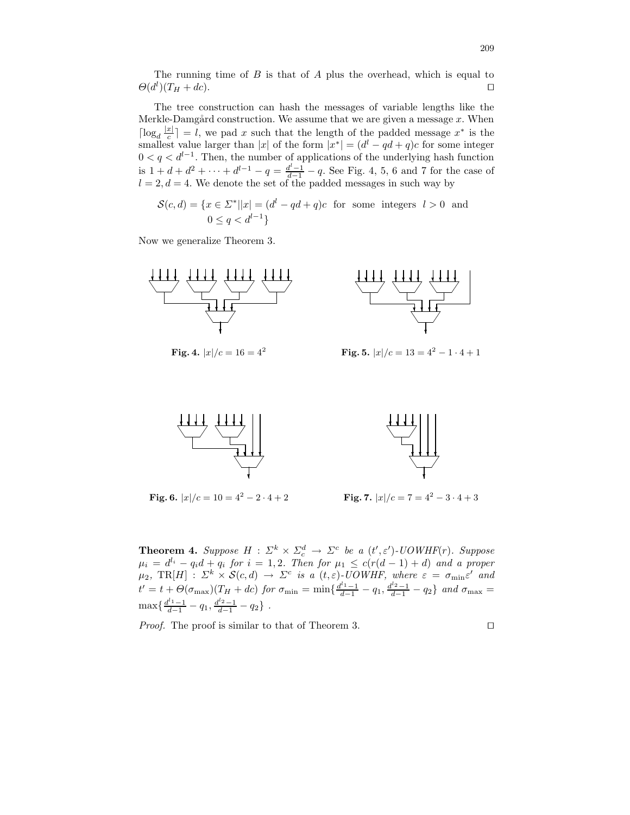The running time of  $B$  is that of  $A$  plus the overhead, which is equal to  $\Theta(d^{l})(T_H + dc).$ 

The tree construction can hash the messages of variable lengths like the Merkle-Damgård construction. We assume that we are given a message  $x$ . When  $\lceil \log_d \frac{|x|}{c} \rceil$  $\left| \frac{x}{c} \right| = l$ , we pad x such that the length of the padded message  $x^*$  is the smallest value larger than |x| of the form  $|x^*| = (d^l - qd + q)c$  for some integer  $0 < q < d<sup>l-1</sup>$ . Then, the number of applications of the underlying hash function is  $1 + d + d^2 + \cdots + d^{l-1} - q = \frac{d^l-1}{d-1} - q$ . See Fig. 4, 5, 6 and 7 for the case of  $l = 2, d = 4$ . We denote the set of the padded messages in such way by

$$
\mathcal{S}(c,d) = \{x \in \Sigma^* || x | = (d^l - qd + q)c \text{ for some integers } l > 0 \text{ and } 0 \le q < d^{l-1}\}
$$

Now we generalize Theorem 3.



**Fig. 4.**  $|x|/c = 16 = 4^2$ 



**Fig. 5.**  $|x|/c = 13 = 4^2 - 1 \cdot 4 + 1$ 





**Fig. 6.**  $|x|/c = 10 = 4^2 - 2 \cdot 4 + 2$ 

**Fig. 7.**  $|x|/c = 7 = 4^2 - 3 \cdot 4 + 3$ 

**Theorem 4.** Suppose  $H : \Sigma^k \times \Sigma^d_c \rightarrow \Sigma^c$  be a  $(t', \varepsilon')$ -UOWHF(r). Suppose  $\mu_i = d^{l_i} - q_i d + q_i$  for  $i = 1, 2$ . Then for  $\mu_1 \leq c(r(d-1) + d)$  and a proper  $\mu_2$ , TR[H] :  $\Sigma^k \times \mathcal{S}(c,d) \rightarrow \Sigma^c$  is a  $(t,\varepsilon)$ -UOWHF, where  $\varepsilon = \sigma_{\min} \varepsilon'$  and  $t' = t + \Theta(\sigma_{\text{max}})(T_H + dc)$  for  $\sigma_{\text{min}} = \min\{\frac{d^{l_1}-1}{d-1} - q_1, \frac{d^{l_2}-1}{d-1} - q_2\}$  and  $\sigma_{\text{max}} =$  $\max\{\frac{d^{l_1}-1}{d-1}-q_1,\frac{d^{l_2}-1}{d-1}-q_2\}.$ 

*Proof.* The proof is similar to that of Theorem 3.  $\Box$